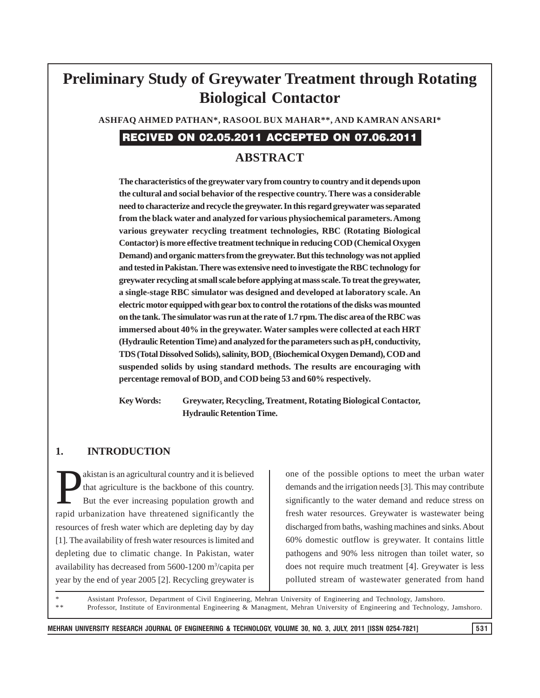# **Preliminary Study of Greywater Treatment through Rotating Biological Contactor**

**ASHFAQ AHMED PATHAN\*, RASOOL BUX MAHAR\*\*, AND KAMRAN ANSARI\***

# RECIVED ON 02.05.2011 ACCEPTED ON 07.06.2011

# **ABSTRACT**

**The characteristics of the greywater vary from country to country and it depends upon the cultural and social behavior of the respective country. There was a considerable need to characterize and recycle the greywater. In this regard greywater was separated from the black water and analyzed for various physiochemical parameters. Among various greywater recycling treatment technologies, RBC (Rotating Biological Contactor) is more effective treatment technique in reducing COD (Chemical Oxygen Demand) and organic matters from the greywater. But this technology was not applied and tested in Pakistan. There was extensive need to investigate the RBC technology for greywater recycling at small scale before applying at mass scale. To treat the greywater, a single-stage RBC simulator was designed and developed at laboratory scale. An electric motor equipped with gear box to control the rotations of the disks was mounted on the tank. The simulator was run at the rate of 1.7 rpm. The disc area of the RBC was immersed about 40% in the greywater. Water samples were collected at each HRT (Hydraulic Retention Time) and analyzed for the parameters such as pH, conductivity,**  $TDS$  (Total Dissolved Solids), salinity,  $BOD_{5}$  (Biochemical Oxygen Demand), COD and **suspended solids by using standard methods. The results are encouraging with** percentage removal of BOD<sub>5</sub> and COD being 53 and 60% respectively.

**Key Words: Greywater, Recycling, Treatment, Rotating Biological Contactor, Hydraulic Retention Time.**

#### **1. INTRODUCTION**

akistan is an agricultural country and it is believed<br>that agriculture is the backbone of this country.<br>But the ever increasing population growth and that agriculture is the backbone of this country. But the ever increasing population growth and rapid urbanization have threatened significantly the resources of fresh water which are depleting day by day [1]. The availability of fresh water resources is limited and depleting due to climatic change. In Pakistan, water availability has decreased from 5600-1200 m<sup>3</sup>/capita per year by the end of year 2005 [2]. Recycling greywater is

one of the possible options to meet the urban water demands and the irrigation needs [3]. This may contribute significantly to the water demand and reduce stress on fresh water resources. Greywater is wastewater being discharged from baths, washing machines and sinks. About 60% domestic outflow is greywater. It contains little pathogens and 90% less nitrogen than toilet water, so does not require much treatment [4]. Greywater is less polluted stream of wastewater generated from hand

Assistant Professor, Department of Civil Engineering, Mehran University of Engineering and Technology, Jamshoro. Professor, Institute of Environmental Engineering & Managment, Mehran University of Engineering and Technology, Jamshoro.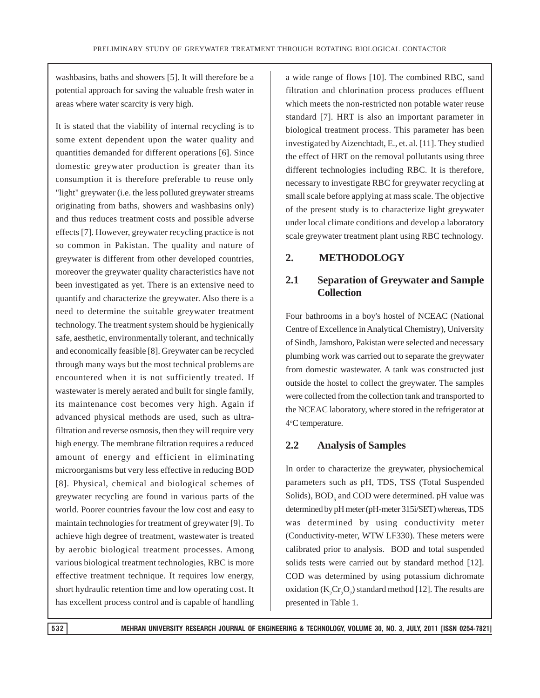washbasins, baths and showers [5]. It will therefore be a potential approach for saving the valuable fresh water in areas where water scarcity is very high.

It is stated that the viability of internal recycling is to some extent dependent upon the water quality and quantities demanded for different operations [6]. Since domestic greywater production is greater than its consumption it is therefore preferable to reuse only "light" greywater (i.e. the less polluted greywater streams originating from baths, showers and washbasins only) and thus reduces treatment costs and possible adverse effects [7]. However, greywater recycling practice is not so common in Pakistan. The quality and nature of greywater is different from other developed countries, moreover the greywater quality characteristics have not been investigated as yet. There is an extensive need to quantify and characterize the greywater. Also there is a need to determine the suitable greywater treatment technology. The treatment system should be hygienically safe, aesthetic, environmentally tolerant, and technically and economically feasible [8]. Greywater can be recycled through many ways but the most technical problems are encountered when it is not sufficiently treated. If wastewater is merely aerated and built for single family, its maintenance cost becomes very high. Again if advanced physical methods are used, such as ultrafiltration and reverse osmosis, then they will require very high energy. The membrane filtration requires a reduced amount of energy and efficient in eliminating microorganisms but very less effective in reducing BOD [8]. Physical, chemical and biological schemes of greywater recycling are found in various parts of the world. Poorer countries favour the low cost and easy to maintain technologies for treatment of greywater [9]. To achieve high degree of treatment, wastewater is treated by aerobic biological treatment processes. Among various biological treatment technologies, RBC is more effective treatment technique. It requires low energy, short hydraulic retention time and low operating cost. It has excellent process control and is capable of handling

a wide range of flows [10]. The combined RBC, sand filtration and chlorination process produces effluent which meets the non-restricted non potable water reuse standard [7]. HRT is also an important parameter in biological treatment process. This parameter has been investigated by Aizenchtadt, E., et. al. [11]. They studied the effect of HRT on the removal pollutants using three different technologies including RBC. It is therefore, necessary to investigate RBC for greywater recycling at small scale before applying at mass scale. The objective of the present study is to characterize light greywater under local climate conditions and develop a laboratory scale greywater treatment plant using RBC technology.

### **2. METHODOLOGY**

### **2.1 Separation of Greywater and Sample Collection**

Four bathrooms in a boy's hostel of NCEAC (National Centre of Excellence in Analytical Chemistry), University of Sindh, Jamshoro, Pakistan were selected and necessary plumbing work was carried out to separate the greywater from domestic wastewater. A tank was constructed just outside the hostel to collect the greywater. The samples were collected from the collection tank and transported to the NCEAC laboratory, where stored in the refrigerator at 4°C temperature.

### **2.2 Analysis of Samples**

In order to characterize the greywater, physiochemical parameters such as pH, TDS, TSS (Total Suspended Solids), BOD<sub>5</sub> and COD were determined. pH value was determined by pH meter (pH-meter 315i/SET) whereas, TDS was determined by using conductivity meter (Conductivity-meter, WTW LF330). These meters were calibrated prior to analysis. BOD and total suspended solids tests were carried out by standard method [12]. COD was determined by using potassium dichromate oxidation ( $K_2Cr_2O_7$ ) standard method [12]. The results are presented in Table 1.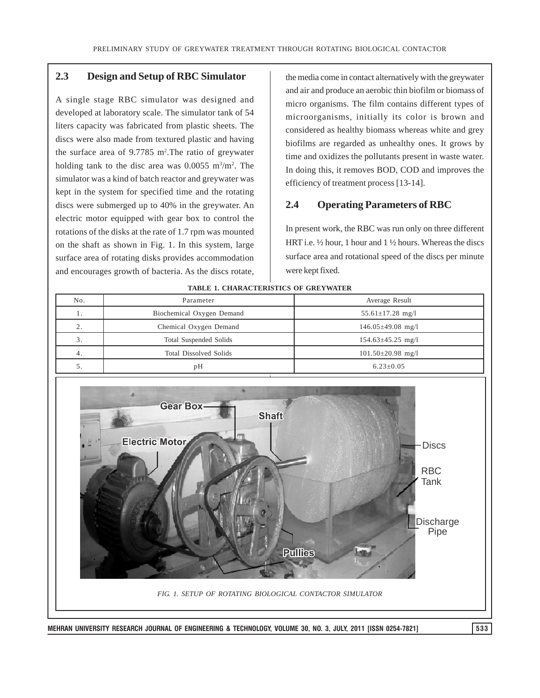#### **2.3 Design and Setup of RBC Simulator**

A single stage RBC simulator was designed and developed at laboratory scale. The simulator tank of 54 liters capacity was fabricated from plastic sheets. The discs were also made from textured plastic and having the surface area of  $9.7785$  m<sup>2</sup>. The ratio of greywater holding tank to the disc area was  $0.0055$  m<sup>3</sup>/m<sup>2</sup>. The simulator was a kind of batch reactor and greywater was kept in the system for specified time and the rotating discs were submerged up to 40% in the greywater. An electric motor equipped with gear box to control the rotations of the disks at the rate of 1.7 rpm was mounted on the shaft as shown in Fig. 1. In this system, large surface area of rotating disks provides accommodation and encourages growth of bacteria. As the discs rotate,

the media come in contact alternatively with the greywater and air and produce an aerobic thin biofilm or biomass of micro organisms. The film contains different types of microorganisms, initially its color is brown and considered as healthy biomass whereas white and grey biofilms are regarded as unhealthy ones. It grows by time and oxidizes the pollutants present in waste water. In doing this, it removes BOD, COD and improves the efficiency of treatment process [13-14].

#### **2.4 Operating Parameters of RBC**

In present work, the RBC was run only on three different HRT i.e. ½ hour, 1 hour and 1 ½ hours. Whereas the discs surface area and rotational speed of the discs per minute were kept fixed.

| No. | Average Result<br>Parameter   |                         |
|-----|-------------------------------|-------------------------|
|     | Biochemical Oxygen Demand     | $55.61 \pm 17.28$ mg/l  |
|     | Chemical Oxygen Demand        | $146.05 \pm 49.08$ mg/l |
|     | Total Suspended Solids        | $154.63 \pm 45.25$ mg/l |
| 4.  | <b>Total Dissolved Solids</b> | $101.50 \pm 20.98$ mg/l |
|     | pН                            | $6.23 \pm 0.05$         |





**TABLE 1. CHARACTERISTICS OF GREYWATER**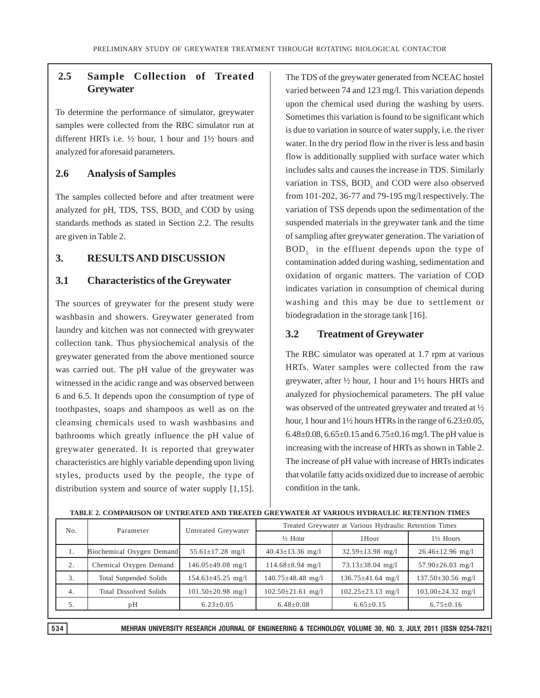## **2.5 Sample Collection of Treated Greywater**

To determine the performance of simulator, greywater samples were collected from the RBC simulator run at different HRTs i.e. ½ hour, 1 hour and 1½ hours and analyzed for aforesaid parameters.

#### **2.6 Analysis of Samples**

The samples collected before and after treatment were analyzed for pH, TDS, TSS,  $BOD<sub>5</sub>$  and COD by using standards methods as stated in Section 2.2. The results are given in Table 2.

### **3. RESULTS AND DISCUSSION**

#### **3.1 Characteristics of the Greywater**

The sources of greywater for the present study were washbasin and showers. Greywater generated from laundry and kitchen was not connected with greywater collection tank. Thus physiochemical analysis of the greywater generated from the above mentioned source was carried out. The pH value of the greywater was witnessed in the acidic range and was observed between 6 and 6.5. It depends upon the consumption of type of toothpastes, soaps and shampoos as well as on the cleansing chemicals used to wash washbasins and bathrooms which greatly influence the pH value of greywater generated. It is reported that greywater characteristics are highly variable depending upon living styles, products used by the people, the type of distribution system and source of water supply [1,15].

The TDS of the greywater generated from NCEAC hostel varied between 74 and 123 mg/l. This variation depends upon the chemical used during the washing by users. Sometimes this variation is found to be significant which is due to variation in source of water supply, i.e. the river water. In the dry period flow in the river is less and basin flow is additionally supplied with surface water which includes salts and causes the increase in TDS. Similarly variation in TSS,  $BOD<sub>5</sub>$  and COD were also observed from 101-202, 36-77 and 79-195 mg/l respectively. The variation of TSS depends upon the sedimentation of the suspended materials in the greywater tank and the time of sampling after greywater generation. The variation of BOD<sub>5</sub> in the effluent depends upon the type of contamination added during washing, sedimentation and oxidation of organic matters. The variation of COD indicates variation in consumption of chemical during washing and this may be due to settlement or biodegradation in the storage tank [16].

#### **3.2 Treatment of Greywater**

The RBC simulator was operated at 1.7 rpm at various HRTs. Water samples were collected from the raw greywater, after ½ hour, 1 hour and 1½ hours HRTs and analyzed for physiochemical parameters. The pH value was observed of the untreated greywater and treated at ½ hour, 1 hour and 1<sup>1</sup>/<sub>2</sub> hours HTRs in the range of 6.23±0.05, 6.48 $\pm$ 0.08, 6.65 $\pm$ 0.15 and 6.75 $\pm$ 0.16 mg/l. The pH value is increasing with the increase of HRTs as shown in Table 2. The increase of pH value with increase of HRTs indicates that volatile fatty acids oxidized due to increase of aerobic condition in the tank.

| No. | Parameter                     | Untreated Greywater     | Treated Greywater at Various Hydraulic Retention Times |                         |                         |
|-----|-------------------------------|-------------------------|--------------------------------------------------------|-------------------------|-------------------------|
|     |                               |                         | $\frac{1}{2}$ Hour                                     | 1Hour                   | $1\frac{1}{2}$ Hours    |
| 1.  | Biochemical Oxygen Demand     | $55.61 \pm 17.28$ mg/l  | $40.43 \pm 13.36$ mg/l                                 | $32.59 \pm 13.98$ mg/l  | $26.46 \pm 12.96$ mg/l  |
| 2.  | Chemical Oxygen Demand        | $146.05 \pm 49.08$ mg/l | $114.68 \pm 8.94$ mg/l                                 | $73.13 \pm 38.04$ mg/l  | $57.90 \pm 26.03$ mg/l  |
| 3.  | Total Suspended Solids        | $154.63 \pm 45.25$ mg/l | $140.75 \pm 48.48$ mg/l                                | 136.75±41.64 mg/l       | $137.50 \pm 30.56$ mg/l |
| 4.  | <b>Total Dissolved Solids</b> | $101.50 \pm 20.98$ mg/l | $102.50 \pm 21.61$ mg/l                                | $102.25 \pm 23.13$ mg/l | $103.00 \pm 24.32$ mg/l |
| 5.  | pН                            | $6.23 \pm 0.05$         | $6.48 \pm 0.08$                                        | $6.65 \pm 0.15$         | $6.75 \pm 0.16$         |

#### **TABLE 2. COMPARISON OF UNTREATED AND TREATED GREYWATER AT VARIOUS HYDRAULIC RETENTION TIMES**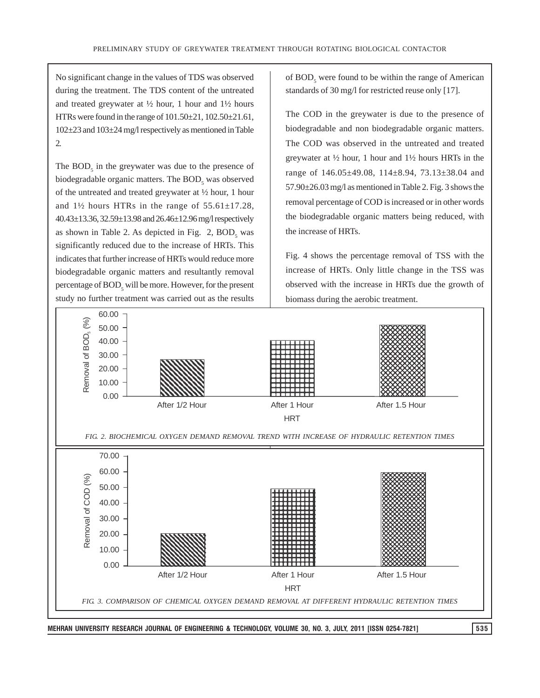No significant change in the values of TDS was observed during the treatment. The TDS content of the untreated and treated greywater at  $\frac{1}{2}$  hour, 1 hour and  $1\frac{1}{2}$  hours HTRs were found in the range of 101.50±21, 102.50±21.61, 102±23 and 103±24 mg/l respectively as mentioned in Table 2.

The  $BOD<sub>5</sub>$  in the greywater was due to the presence of biodegradable organic matters. The  $BOD<sub>5</sub>$  was observed of the untreated and treated greywater at ½ hour, 1 hour and  $1\frac{1}{2}$  hours HTRs in the range of  $55.61 \pm 17.28$ , 40.43±13.36, 32.59±13.98 and 26.46±12.96 mg/l respectively as shown in Table 2. As depicted in Fig.  $2$ ,  $BOD<sub>5</sub>$  was significantly reduced due to the increase of HRTs. This indicates that further increase of HRTs would reduce more biodegradable organic matters and resultantly removal percentage of  $\text{BOD}_5$  will be more. However, for the present study no further treatment was carried out as the results of BOD<sub>5</sub> were found to be within the range of American standards of 30 mg/l for restricted reuse only [17].

The COD in the greywater is due to the presence of biodegradable and non biodegradable organic matters. The COD was observed in the untreated and treated greywater at ½ hour, 1 hour and 1½ hours HRTs in the range of 146.05±49.08, 114±8.94, 73.13±38.04 and 57.90±26.03 mg/l as mentioned in Table 2. Fig. 3 shows the removal percentage of COD is increased or in other words the biodegradable organic matters being reduced, with the increase of HRTs.

Fig. 4 shows the percentage removal of TSS with the increase of HRTs. Only little change in the TSS was observed with the increase in HRTs due the growth of biomass during the aerobic treatment.

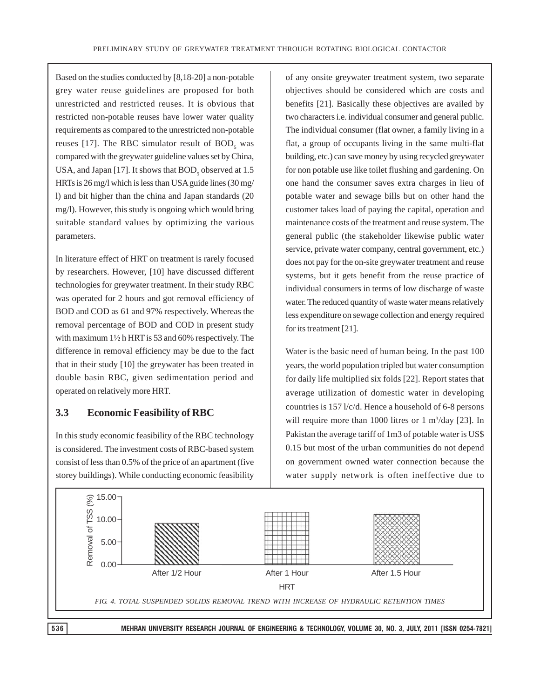Based on the studies conducted by [8,18-20] a non-potable grey water reuse guidelines are proposed for both unrestricted and restricted reuses. It is obvious that restricted non-potable reuses have lower water quality requirements as compared to the unrestricted non-potable reuses [17]. The RBC simulator result of  $BOD<sub>5</sub>$  was compared with the greywater guideline values set by China, USA, and Japan [17]. It shows that  $\mathrm{BOD}_5$  observed at 1.5 HRTs is 26 mg/l which is less than USA guide lines (30 mg/ l) and bit higher than the china and Japan standards (20 mg/l). However, this study is ongoing which would bring suitable standard values by optimizing the various parameters.

In literature effect of HRT on treatment is rarely focused by researchers. However, [10] have discussed different technologies for greywater treatment. In their study RBC was operated for 2 hours and got removal efficiency of BOD and COD as 61 and 97% respectively. Whereas the removal percentage of BOD and COD in present study with maximum 1½ h HRT is 53 and 60% respectively. The difference in removal efficiency may be due to the fact that in their study [10] the greywater has been treated in double basin RBC, given sedimentation period and operated on relatively more HRT.

### **3.3 Economic Feasibility of RBC**

In this study economic feasibility of the RBC technology is considered. The investment costs of RBC-based system consist of less than 0.5% of the price of an apartment (five storey buildings). While conducting economic feasibility

of any onsite greywater treatment system, two separate objectives should be considered which are costs and benefits [21]. Basically these objectives are availed by two characters i.e. individual consumer and general public. The individual consumer (flat owner, a family living in a flat, a group of occupants living in the same multi-flat building, etc.) can save money by using recycled greywater for non potable use like toilet flushing and gardening. On one hand the consumer saves extra charges in lieu of potable water and sewage bills but on other hand the customer takes load of paying the capital, operation and maintenance costs of the treatment and reuse system. The general public (the stakeholder likewise public water service, private water company, central government, etc.) does not pay for the on-site greywater treatment and reuse systems, but it gets benefit from the reuse practice of individual consumers in terms of low discharge of waste water. The reduced quantity of waste water means relatively less expenditure on sewage collection and energy required for its treatment [21].

Water is the basic need of human being. In the past 100 years, the world population tripled but water consumption for daily life multiplied six folds [22]. Report states that average utilization of domestic water in developing countries is 157 l/c/d. Hence a household of 6-8 persons will require more than 1000 litres or  $1 \text{ m}^3/\text{day}$  [23]. In Pakistan the average tariff of 1m3 of potable water is US\$ 0.15 but most of the urban communities do not depend on government owned water connection because the water supply network is often ineffective due to

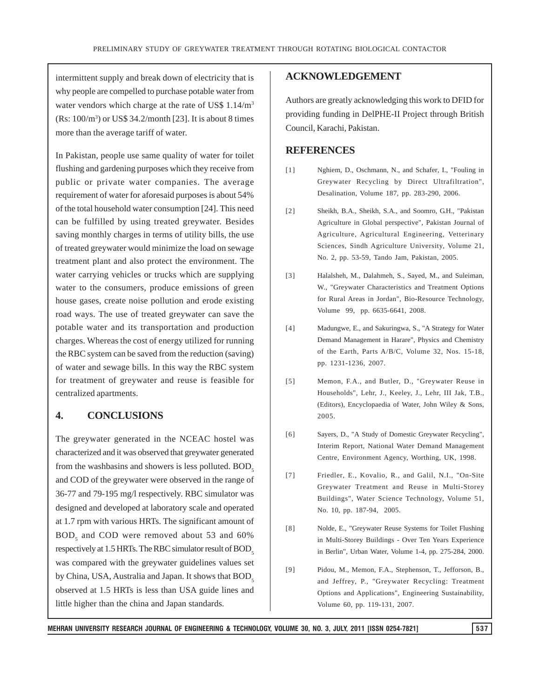intermittent supply and break down of electricity that is why people are compelled to purchase potable water from water vendors which charge at the rate of US\$ 1.14/m3 (Rs: 100/m3 ) or US\$ 34.2/month [23]. It is about 8 times more than the average tariff of water.

In Pakistan, people use same quality of water for toilet flushing and gardening purposes which they receive from public or private water companies. The average requirement of water for aforesaid purposes is about 54% of the total household water consumption [24]. This need can be fulfilled by using treated greywater. Besides saving monthly charges in terms of utility bills, the use of treated greywater would minimize the load on sewage treatment plant and also protect the environment. The water carrying vehicles or trucks which are supplying water to the consumers, produce emissions of green house gases, create noise pollution and erode existing road ways. The use of treated greywater can save the potable water and its transportation and production charges. Whereas the cost of energy utilized for running the RBC system can be saved from the reduction (saving) of water and sewage bills. In this way the RBC system for treatment of greywater and reuse is feasible for centralized apartments.

#### **4. CONCLUSIONS**

The greywater generated in the NCEAC hostel was characterized and it was observed that greywater generated from the washbasins and showers is less polluted.  $BOD<sub>s</sub>$ and COD of the greywater were observed in the range of 36-77 and 79-195 mg/l respectively. RBC simulator was designed and developed at laboratory scale and operated at 1.7 rpm with various HRTs. The significant amount of BOD<sub>5</sub> and COD were removed about 53 and 60% respectively at 1.5 HRTs. The RBC simulator result of BOD<sub>5</sub> was compared with the greywater guidelines values set by China, USA, Australia and Japan. It shows that BOD, observed at 1.5 HRTs is less than USA guide lines and little higher than the china and Japan standards.

#### **ACKNOWLEDGEMENT**

Authors are greatly acknowledging this work to DFID for providing funding in DelPHE-II Project through British Council, Karachi, Pakistan.

#### **REFERENCES**

- [1] Nghiem, D., Oschmann, N., and Schafer, I., "Fouling in Greywater Recycling by Direct Ultrafiltration", Desalination, Volume 187, pp. 283-290, 2006.
- [2] Sheikh, B.A., Sheikh, S.A., and Soomro, G.H., "Pakistan Agriculture in Global perspective", Pakistan Journal of Agriculture, Agricultural Engineering, Vetterinary Sciences, Sindh Agriculture University, Volume 21, No. 2, pp. 53-59, Tando Jam, Pakistan, 2005.
- [3] Halalsheh, M., Dalahmeh, S., Sayed, M., and Suleiman, W., "Greywater Characteristics and Treatment Options for Rural Areas in Jordan", Bio-Resource Technology, Volume 99, pp. 6635-6641, 2008.
- [4] Madungwe, E., and Sakuringwa, S., "A Strategy for Water Demand Management in Harare", Physics and Chemistry of the Earth, Parts A/B/C, Volume 32, Nos. 15-18, pp. 1231-1236, 2007.
- [5] Memon, F.A., and Butler, D., "Greywater Reuse in Households", Lehr, J., Keeley, J., Lehr, III Jak, T.B., (Editors), Encyclopaedia of Water, John Wiley & Sons, 2005.
- [6] Sayers, D., "A Study of Domestic Greywater Recycling", Interim Report, National Water Demand Management Centre, Environment Agency, Worthing, UK, 1998.
- [7] Friedler, E., Kovalio, R., and Galil, N.I., "On-Site Greywater Treatment and Reuse in Multi-Storey Buildings", Water Science Technology, Volume 51, No. 10, pp. 187-94, 2005.
- [8] Nolde, E., "Greywater Reuse Systems for Toilet Flushing in Multi-Storey Buildings - Over Ten Years Experience in Berlin", Urban Water, Volume 1-4, pp. 275-284, 2000.
- [9] Pidou, M., Memon, F.A., Stephenson, T., Jefforson, B., and Jeffrey, P., "Greywater Recycling: Treatment Options and Applications", Engineering Sustainability, Volume 60, pp. 119-131, 2007.